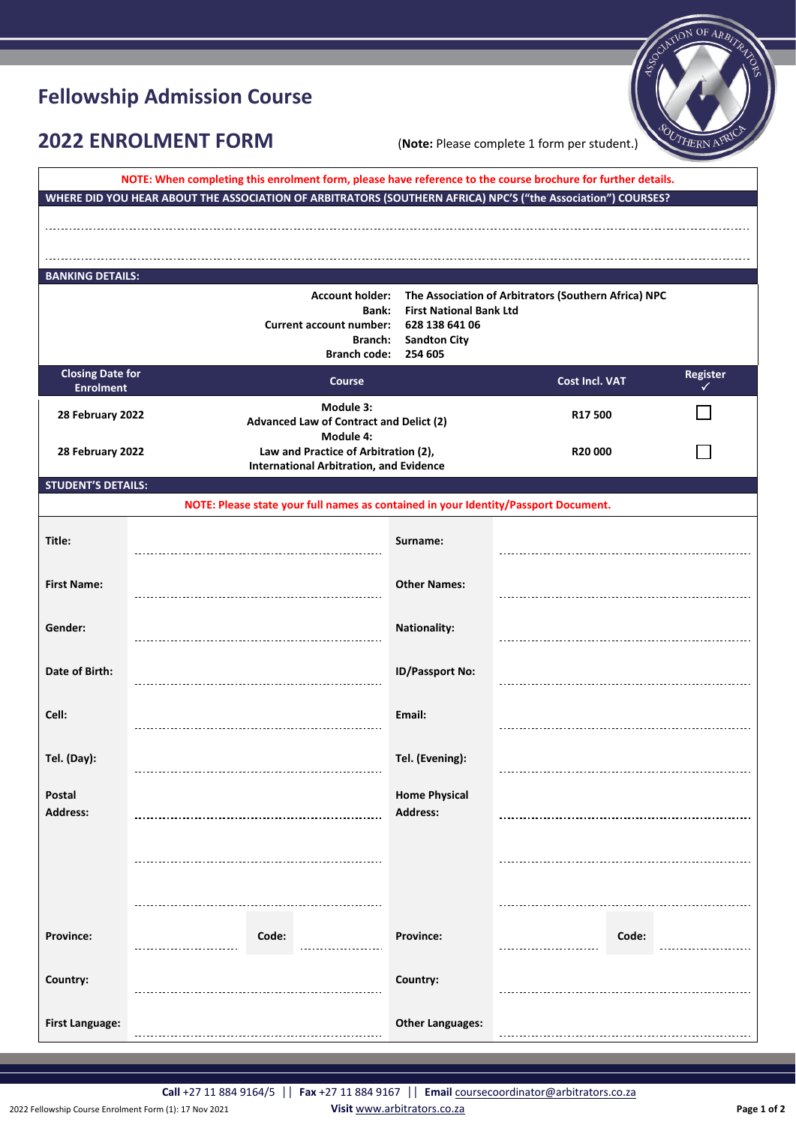## **Fellowship Admission Course**

## **2022 ENROLMENT FORM** (**Note:** Please complete 1 form per student.)

 $\eta_{\rm ERN}$  )

| NOTE: When completing this enrolment form, please have reference to the course brochure for further details.<br>WHERE DID YOU HEAR ABOUT THE ASSOCIATION OF ARBITRATORS (SOUTHERN AFRICA) NPC'S ("the Association") COURSES? |                                                                                                            |                                                                                        |                                                      |                          |  |
|------------------------------------------------------------------------------------------------------------------------------------------------------------------------------------------------------------------------------|------------------------------------------------------------------------------------------------------------|----------------------------------------------------------------------------------------|------------------------------------------------------|--------------------------|--|
|                                                                                                                                                                                                                              |                                                                                                            |                                                                                        |                                                      |                          |  |
|                                                                                                                                                                                                                              |                                                                                                            |                                                                                        |                                                      |                          |  |
| <b>BANKING DETAILS:</b>                                                                                                                                                                                                      |                                                                                                            |                                                                                        |                                                      |                          |  |
|                                                                                                                                                                                                                              | <b>Account holder:</b><br><b>Bank:</b><br><b>Current account number:</b><br>Branch:<br><b>Branch code:</b> | <b>First National Bank Ltd</b><br>628 138 641 06<br><b>Sandton City</b><br>254 605     | The Association of Arbitrators (Southern Africa) NPC |                          |  |
| <b>Closing Date for</b><br><b>Enrolment</b>                                                                                                                                                                                  | <b>Course</b>                                                                                              |                                                                                        | <b>Cost Incl. VAT</b>                                | Register<br>$\checkmark$ |  |
| 28 February 2022                                                                                                                                                                                                             | Module 3:<br><b>Advanced Law of Contract and Delict (2)</b><br>Module 4:                                   |                                                                                        | R17500                                               |                          |  |
| 28 February 2022                                                                                                                                                                                                             |                                                                                                            | Law and Practice of Arbitration (2),<br><b>International Arbitration, and Evidence</b> |                                                      |                          |  |
| <b>STUDENT'S DETAILS:</b>                                                                                                                                                                                                    |                                                                                                            |                                                                                        |                                                      |                          |  |
| NOTE: Please state your full names as contained in your Identity/Passport Document.                                                                                                                                          |                                                                                                            |                                                                                        |                                                      |                          |  |
| Title:                                                                                                                                                                                                                       |                                                                                                            | Surname:                                                                               |                                                      |                          |  |
| <b>First Name:</b>                                                                                                                                                                                                           |                                                                                                            | <b>Other Names:</b>                                                                    |                                                      |                          |  |
| Gender:                                                                                                                                                                                                                      |                                                                                                            | <b>Nationality:</b>                                                                    |                                                      |                          |  |
| Date of Birth:                                                                                                                                                                                                               |                                                                                                            | ID/Passport No:                                                                        |                                                      |                          |  |
| Cell:                                                                                                                                                                                                                        |                                                                                                            | Email:                                                                                 |                                                      |                          |  |
| Tel. (Day):                                                                                                                                                                                                                  |                                                                                                            | Tel. (Evening):                                                                        |                                                      |                          |  |
| Postal<br><b>Address:</b>                                                                                                                                                                                                    |                                                                                                            | <b>Home Physical</b><br><b>Address:</b>                                                |                                                      |                          |  |
|                                                                                                                                                                                                                              |                                                                                                            |                                                                                        |                                                      |                          |  |
| <b>Province:</b>                                                                                                                                                                                                             | Code:                                                                                                      | Province:                                                                              | Code:                                                |                          |  |
| Country:                                                                                                                                                                                                                     |                                                                                                            | Country:                                                                               |                                                      |                          |  |
| <b>First Language:</b>                                                                                                                                                                                                       |                                                                                                            | <b>Other Languages:</b>                                                                |                                                      |                          |  |

**Call** +27 11 884 9164/5 || **Fax** +27 11 884 9167 || **Email** [coursecoordinator@arbitrators.co.za](mailto:coursecoordinator@arbitrators.co.za?subject=AoA:%202022%20Fellowship%20Admission%20Course)